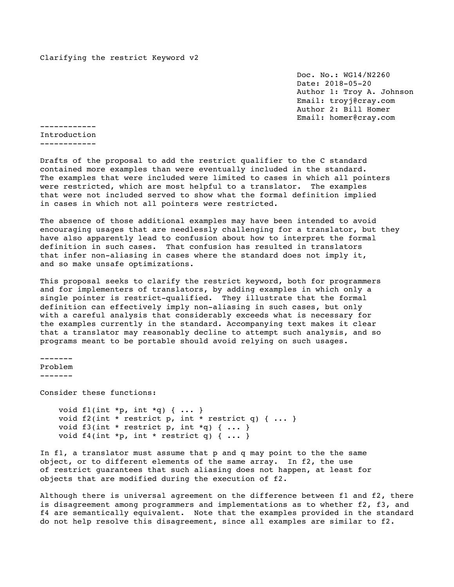Clarifying the restrict Keyword v2

 Doc. No.: WG14/N2260 Date: 2018-05-20 Author 1: Troy A. Johnson Email: troyj@cray.com Author 2: Bill Homer Email: homer@cray.com

------------ Introduction ------------

Drafts of the proposal to add the restrict qualifier to the C standard contained more examples than were eventually included in the standard. The examples that were included were limited to cases in which all pointers were restricted, which are most helpful to a translator. The examples that were not included served to show what the formal definition implied in cases in which not all pointers were restricted.

The absence of those additional examples may have been intended to avoid encouraging usages that are needlessly challenging for a translator, but they have also apparently lead to confusion about how to interpret the formal definition in such cases. That confusion has resulted in translators that infer non-aliasing in cases where the standard does not imply it, and so make unsafe optimizations.

This proposal seeks to clarify the restrict keyword, both for programmers and for implementers of translators, by adding examples in which only a single pointer is restrict-qualified. They illustrate that the formal definition can effectively imply non-aliasing in such cases, but only with a careful analysis that considerably exceeds what is necessary for the examples currently in the standard. Accompanying text makes it clear that a translator may reasonably decline to attempt such analysis, and so programs meant to be portable should avoid relying on such usages.

------- Problem ------- Consider these functions: void fl(int \*p, int \*q) { ... } void f2(int \* restrict p, int \* restrict q) { ... } void f3(int \* restrict p, int \*q) { ... } void f4(int \*p, int \* restrict q) { ... }

In f1, a translator must assume that p and q may point to the the same object, or to different elements of the same array. In f2, the use of restrict guarantees that such aliasing does not happen, at least for objects that are modified during the execution of f2.

Although there is universal agreement on the difference between f1 and f2, there is disagreement among programmers and implementations as to whether f2, f3, and f4 are semantically equivalent. Note that the examples provided in the standard do not help resolve this disagreement, since all examples are similar to f2.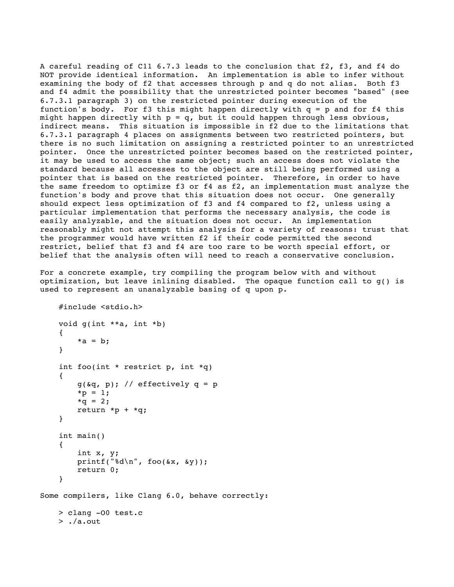A careful reading of C11 6.7.3 leads to the conclusion that f2, f3, and f4 do NOT provide identical information. An implementation is able to infer without examining the body of f2 that accesses through p and q do not alias. Both f3 and f4 admit the possibility that the unrestricted pointer becomes "based" (see 6.7.3.1 paragraph 3) on the restricted pointer during execution of the function's body. For f3 this might happen directly with  $q = p$  and for f4 this might happen directly with  $p = q$ , but it could happen through less obvious, indirect means. This situation is impossible in f2 due to the limitations that 6.7.3.1 paragraph 4 places on assignments between two restricted pointers, but there is no such limitation on assigning a restricted pointer to an unrestricted pointer. Once the unrestricted pointer becomes based on the restricted pointer, it may be used to access the same object; such an access does not violate the standard because all accesses to the object are still being performed using a pointer that is based on the restricted pointer. Therefore, in order to have the same freedom to optimize f3 or f4 as f2, an implementation must analyze the function's body and prove that this situation does not occur. One generally should expect less optimization of f3 and f4 compared to f2, unless using a particular implementation that performs the necessary analysis, the code is easily analyzable, and the situation does not occur. An implementation reasonably might not attempt this analysis for a variety of reasons: trust that the programmer would have written f2 if their code permitted the second restrict, belief that f3 and f4 are too rare to be worth special effort, or belief that the analysis often will need to reach a conservative conclusion.

For a concrete example, try compiling the program below with and without optimization, but leave inlining disabled. The opaque function call to g() is used to represent an unanalyzable basing of q upon p.

```
 #include <stdio.h>
     void g(int **a, int *b)
     {
         *a = b; }
    int foo(int * restrict p, int *q)
     {
         g(\texttt{dq}, p); // effectively q = p*_{p} = 1;*q = 2;return *p + *q; }
     int main()
     {
          int x, y;
         print(f("d\nu", foo(\&x, \&y)); return 0;
     }
Some compilers, like Clang 6.0, behave correctly:
     > clang -O0 test.c
     > ./a.out
```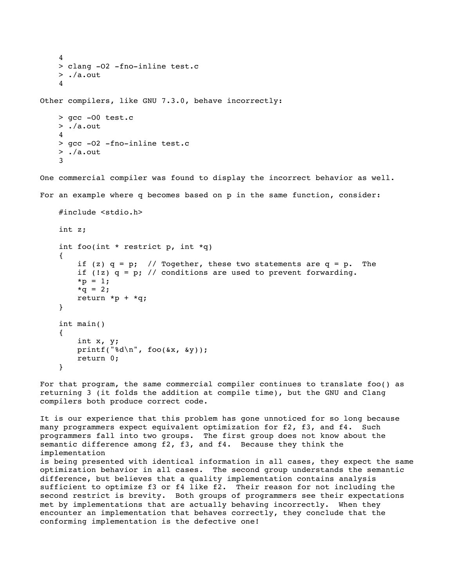```
 4
     > clang -O2 -fno-inline test.c
     > ./a.out
     4
Other compilers, like GNU 7.3.0, behave incorrectly:
     > gcc -O0 test.c
     > ./a.out
     4
     > gcc -O2 -fno-inline test.c
    > ./a.out
     3
One commercial compiler was found to display the incorrect behavior as well.
For an example where q becomes based on p in the same function, consider:
     #include <stdio.h>
     int z;
     int foo(int * restrict p, int *q)
     {
        if (z) q = p; // Together, these two statements are q = p. The
        if (!z) q = p; // conditions are used to prevent forwarding.
        *_{p} = 1;*q = 2;
        return *p + *q; }
     int main()
     {
         int x, y;
        printf("d\nu", foo(\&x, \&y)); return 0;
     }
```
For that program, the same commercial compiler continues to translate foo() as returning 3 (it folds the addition at compile time), but the GNU and Clang compilers both produce correct code.

It is our experience that this problem has gone unnoticed for so long because many programmers expect equivalent optimization for f2, f3, and f4. Such programmers fall into two groups. The first group does not know about the semantic difference among f2, f3, and f4. Because they think the implementation is being presented with identical information in all cases, they expect the same optimization behavior in all cases. The second group understands the semantic difference, but believes that a quality implementation contains analysis sufficient to optimize f3 or f4 like f2. Their reason for not including the second restrict is brevity. Both groups of programmers see their expectations met by implementations that are actually behaving incorrectly. When they encounter an implementation that behaves correctly, they conclude that the conforming implementation is the defective one!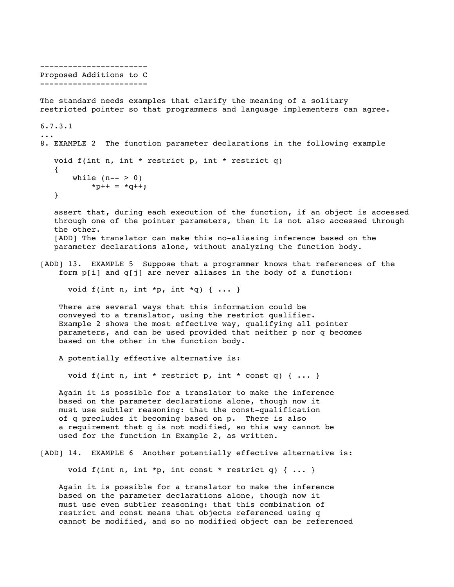```
-----------------------
Proposed Additions to C 
-----------------------
The standard needs examples that clarify the meaning of a solitary
restricted pointer so that programmers and language implementers can agree.
6.7.3.1
...
8. EXAMPLE 2 The function parameter declarations in the following example
    void f(int n, int * restrict p, int * restrict q)
    {
      while (n-- > 0)*p++ = *q++; }
    assert that, during each execution of the function, if an object is accessed
    through one of the pointer parameters, then it is not also accessed through
    the other.
    [ADD] The translator can make this no-aliasing inference based on the
    parameter declarations alone, without analyzing the function body.
[ADD] 13. EXAMPLE 5 Suppose that a programmer knows that references of the
     form p[i] and q[j] are never aliases in the body of a function:
      void f(int n, int *p, int *q) { ... }
     There are several ways that this information could be
     conveyed to a translator, using the restrict qualifier.
    Example 2 shows the most effective way, qualifying all pointer
     parameters, and can be used provided that neither p nor q becomes
    based on the other in the function body.
     A potentially effective alternative is:
      void f(int n, int * restrict p, int * const q) { ... }
     Again it is possible for a translator to make the inference
     based on the parameter declarations alone, though now it
    must use subtler reasoning: that the const-qualification
     of q precludes it becoming based on p. There is also
     a requirement that q is not modified, so this way cannot be
     used for the function in Example 2, as written.
[ADD] 14. EXAMPLE 6 Another potentially effective alternative is:
      void f(int n, int *p, int const * restrict q) { ... }
     Again it is possible for a translator to make the inference
```
 based on the parameter declarations alone, though now it must use even subtler reasoning: that this combination of restrict and const means that objects referenced using q cannot be modified, and so no modified object can be referenced